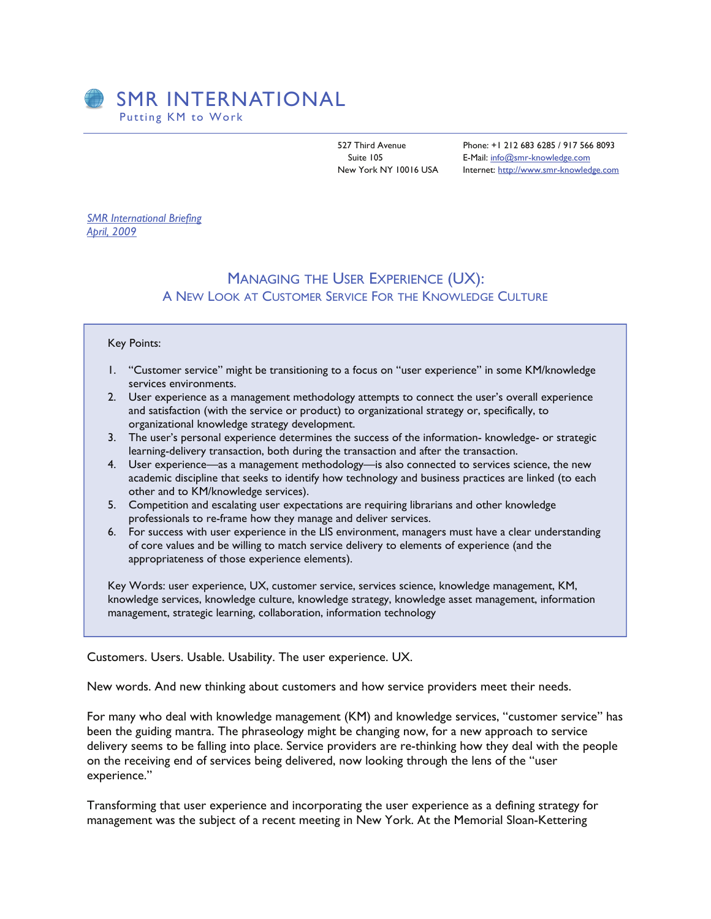

527 Third Avenue Phone: +1 212 683 6285 / 917 566 8093 Suite 105 E-Mail: [info@smr-knowledge.com](mailto:guystclair@smr-knowledge.com) New York NY 10016 USA Internet: [http://www.smr-knowledge.com](http://www.smr-knowledge.com/)

*SMR International Briefing April, 2009*

## MANAGING THE USER EXPERIENCE (UX): A NEW LOOK AT CUSTOMER SERVICE FOR THE KNOWLEDGE CULTURE

## Key Points:

- 1. "Customer service" might be transitioning to a focus on "user experience" in some KM/knowledge services environments.
- 2. User experience as a management methodology attempts to connect the user's overall experience and satisfaction (with the service or product) to organizational strategy or, specifically, to organizational knowledge strategy development.
- 3. The user's personal experience determines the success of the information- knowledge- or strategic learning-delivery transaction, both during the transaction and after the transaction.
- 4. User experience—as a management methodology—is also connected to services science, the new academic discipline that seeks to identify how technology and business practices are linked (to each other and to KM/knowledge services).
- 5. Competition and escalating user expectations are requiring librarians and other knowledge professionals to re-frame how they manage and deliver services.
- 6. For success with user experience in the LIS environment, managers must have a clear understanding of core values and be willing to match service delivery to elements of experience (and the appropriateness of those experience elements).

Key Words: user experience, UX, customer service, services science, knowledge management, KM, knowledge services, knowledge culture, knowledge strategy, knowledge asset management, information management, strategic learning, collaboration, information technology

Customers. Users. Usable. Usability. The user experience. UX.

New words. And new thinking about customers and how service providers meet their needs.

For many who deal with knowledge management (KM) and knowledge services, "customer service" has been the guiding mantra. The phraseology might be changing now, for a new approach to service delivery seems to be falling into place. Service providers are re-thinking how they deal with the people on the receiving end of services being delivered, now looking through the lens of the "user experience."

Transforming that user experience and incorporating the user experience as a defining strategy for management was the subject of a recent meeting in New York. At the Memorial Sloan-Kettering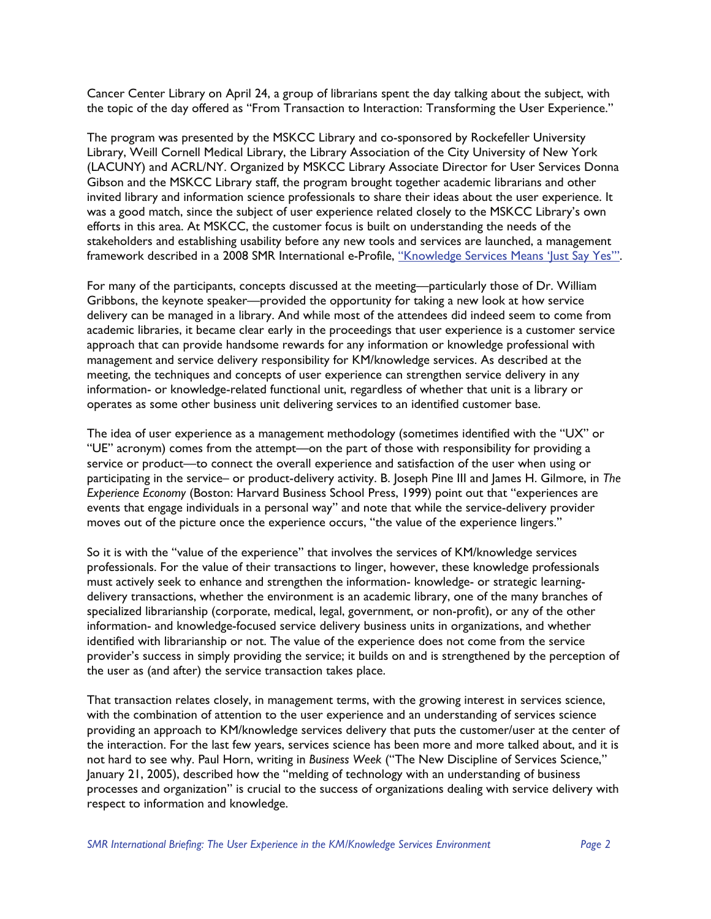Cancer Center Library on April 24, a group of librarians spent the day talking about the subject, with the topic of the day offered as "From Transaction to Interaction: Transforming the User Experience."

The program was presented by the MSKCC Library and co-sponsored by Rockefeller University Library, Weill Cornell Medical Library, the Library Association of the City University of New York (LACUNY) and ACRL/NY. Organized by MSKCC Library Associate Director for User Services Donna Gibson and the MSKCC Library staff, the program brought together academic librarians and other invited library and information science professionals to share their ideas about the user experience. It was a good match, since the subject of user experience related closely to the MSKCC Library's own efforts in this area. At MSKCC, the customer focus is built on understanding the needs of the stakeholders and establishing usability before any new tools and services are launched, a management framework described in a 2008 SMR International e-Profile, ["Knowledge Services Means 'Just Say Yes'".](http://www.smr-knowledge.com/eProfiles/e-Profile_04-15-08_Sparks_Gibson.pdf)

For many of the participants, concepts discussed at the meeting—particularly those of Dr. William Gribbons, the keynote speaker—provided the opportunity for taking a new look at how service delivery can be managed in a library. And while most of the attendees did indeed seem to come from academic libraries, it became clear early in the proceedings that user experience is a customer service approach that can provide handsome rewards for any information or knowledge professional with management and service delivery responsibility for KM/knowledge services. As described at the meeting, the techniques and concepts of user experience can strengthen service delivery in any information- or knowledge-related functional unit, regardless of whether that unit is a library or operates as some other business unit delivering services to an identified customer base.

The idea of user experience as a management methodology (sometimes identified with the "UX" or "UE" acronym) comes from the attempt—on the part of those with responsibility for providing a service or product—to connect the overall experience and satisfaction of the user when using or participating in the service– or product-delivery activity. B. Joseph Pine III and James H. Gilmore, in *The Experience Economy* (Boston: Harvard Business School Press, 1999) point out that "experiences are events that engage individuals in a personal way" and note that while the service-delivery provider moves out of the picture once the experience occurs, "the value of the experience lingers."

So it is with the "value of the experience" that involves the services of KM/knowledge services professionals. For the value of their transactions to linger, however, these knowledge professionals must actively seek to enhance and strengthen the information- knowledge- or strategic learningdelivery transactions, whether the environment is an academic library, one of the many branches of specialized librarianship (corporate, medical, legal, government, or non-profit), or any of the other information- and knowledge-focused service delivery business units in organizations, and whether identified with librarianship or not. The value of the experience does not come from the service provider's success in simply providing the service; it builds on and is strengthened by the perception of the user as (and after) the service transaction takes place.

That transaction relates closely, in management terms, with the growing interest in services science, with the combination of attention to the user experience and an understanding of services science providing an approach to KM/knowledge services delivery that puts the customer/user at the center of the interaction. For the last few years, services science has been more and more talked about, and it is not hard to see why. Paul Horn, writing in *Business Week* ("The New Discipline of Services Science," January 21, 2005), described how the "melding of technology with an understanding of business processes and organization" is crucial to the success of organizations dealing with service delivery with respect to information and knowledge.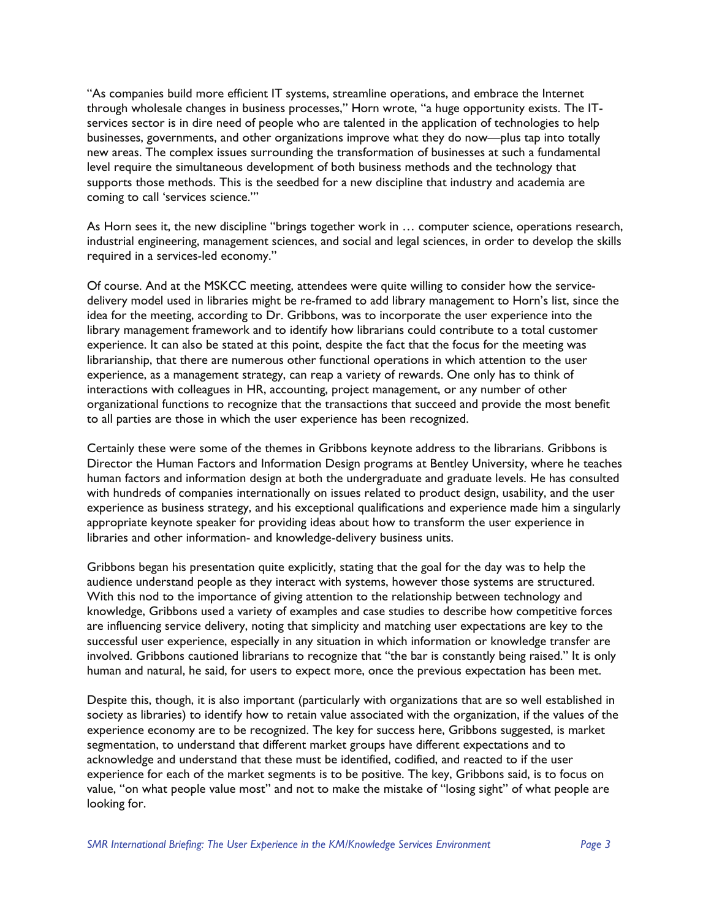"As companies build more efficient IT systems, streamline operations, and embrace the Internet through wholesale changes in business processes," Horn wrote, "a huge opportunity exists. The ITservices sector is in dire need of people who are talented in the application of technologies to help businesses, governments, and other organizations improve what they do now—plus tap into totally new areas. The complex issues surrounding the transformation of businesses at such a fundamental level require the simultaneous development of both business methods and the technology that supports those methods. This is the seedbed for a new discipline that industry and academia are coming to call 'services science.'"

As Horn sees it, the new discipline "brings together work in … computer science, operations research, industrial engineering, management sciences, and social and legal sciences, in order to develop the skills required in a services-led economy."

Of course. And at the MSKCC meeting, attendees were quite willing to consider how the servicedelivery model used in libraries might be re-framed to add library management to Horn's list, since the idea for the meeting, according to Dr. Gribbons, was to incorporate the user experience into the library management framework and to identify how librarians could contribute to a total customer experience. It can also be stated at this point, despite the fact that the focus for the meeting was librarianship, that there are numerous other functional operations in which attention to the user experience, as a management strategy, can reap a variety of rewards. One only has to think of interactions with colleagues in HR, accounting, project management, or any number of other organizational functions to recognize that the transactions that succeed and provide the most benefit to all parties are those in which the user experience has been recognized.

Certainly these were some of the themes in Gribbons keynote address to the librarians. Gribbons is Director the Human Factors and Information Design programs at Bentley University, where he teaches human factors and information design at both the undergraduate and graduate levels. He has consulted with hundreds of companies internationally on issues related to product design, usability, and the user experience as business strategy, and his exceptional qualifications and experience made him a singularly appropriate keynote speaker for providing ideas about how to transform the user experience in libraries and other information- and knowledge-delivery business units.

Gribbons began his presentation quite explicitly, stating that the goal for the day was to help the audience understand people as they interact with systems, however those systems are structured. With this nod to the importance of giving attention to the relationship between technology and knowledge, Gribbons used a variety of examples and case studies to describe how competitive forces are influencing service delivery, noting that simplicity and matching user expectations are key to the successful user experience, especially in any situation in which information or knowledge transfer are involved. Gribbons cautioned librarians to recognize that "the bar is constantly being raised." It is only human and natural, he said, for users to expect more, once the previous expectation has been met.

Despite this, though, it is also important (particularly with organizations that are so well established in society as libraries) to identify how to retain value associated with the organization, if the values of the experience economy are to be recognized. The key for success here, Gribbons suggested, is market segmentation, to understand that different market groups have different expectations and to acknowledge and understand that these must be identified, codified, and reacted to if the user experience for each of the market segments is to be positive. The key, Gribbons said, is to focus on value, "on what people value most" and not to make the mistake of "losing sight" of what people are looking for.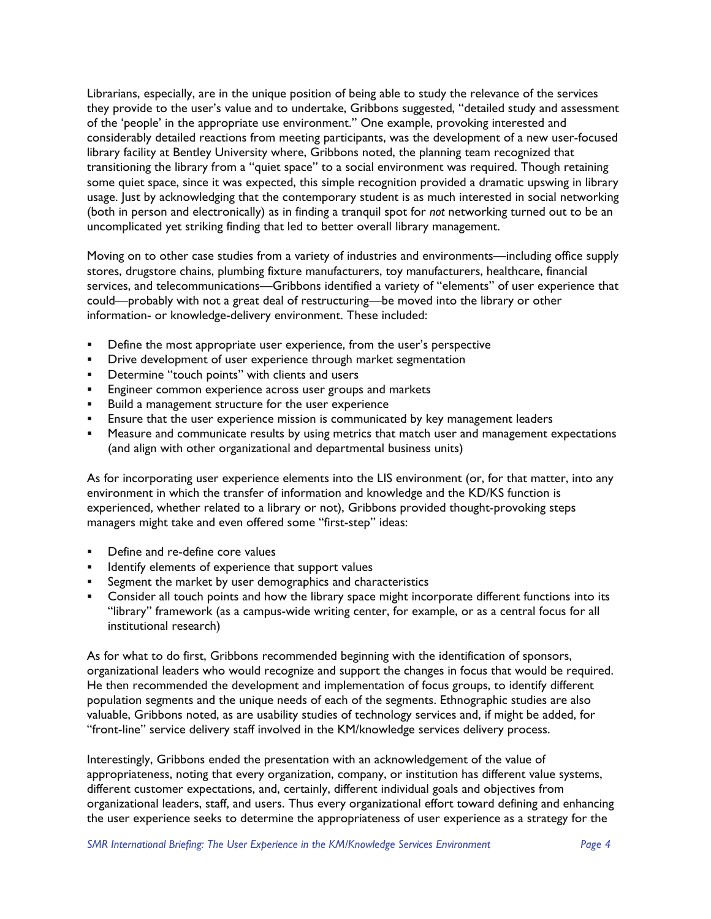Librarians, especially, are in the unique position of being able to study the relevance of the services they provide to the user's value and to undertake, Gribbons suggested, "detailed study and assessment of the 'people' in the appropriate use environment." One example, provoking interested and considerably detailed reactions from meeting participants, was the development of a new user-focused library facility at Bentley University where, Gribbons noted, the planning team recognized that transitioning the library from a "quiet space" to a social environment was required. Though retaining some quiet space, since it was expected, this simple recognition provided a dramatic upswing in library usage. Just by acknowledging that the contemporary student is as much interested in social networking (both in person and electronically) as in finding a tranquil spot for *not* networking turned out to be an uncomplicated yet striking finding that led to better overall library management.

Moving on to other case studies from a variety of industries and environments—including office supply stores, drugstore chains, plumbing fixture manufacturers, toy manufacturers, healthcare, financial services, and telecommunications—Gribbons identified a variety of "elements" of user experience that could—probably with not a great deal of restructuring—be moved into the library or other information- or knowledge-delivery environment. These included:

- **•** Define the most appropriate user experience, from the user's perspective
- **•** Drive development of user experience through market segmentation
- **•** Determine "touch points" with clients and users
- **Engineer common experience across user groups and markets**
- **Build a management structure for the user experience**
- **Ensure that the user experience mission is communicated by key management leaders**
- **•** Measure and communicate results by using metrics that match user and management expectations (and align with other organizational and departmental business units)

As for incorporating user experience elements into the LIS environment (or, for that matter, into any environment in which the transfer of information and knowledge and the KD/KS function is experienced, whether related to a library or not), Gribbons provided thought-provoking steps managers might take and even offered some "first-step" ideas:

- Define and re-define core values
- **IDENTIFY** elements of experience that support values
- **Segment the market by user demographics and characteristics**
- **EXECONS** Consider all touch points and how the library space might incorporate different functions into its "library" framework (as a campus-wide writing center, for example, or as a central focus for all institutional research)

As for what to do first, Gribbons recommended beginning with the identification of sponsors, organizational leaders who would recognize and support the changes in focus that would be required. He then recommended the development and implementation of focus groups, to identify different population segments and the unique needs of each of the segments. Ethnographic studies are also valuable, Gribbons noted, as are usability studies of technology services and, if might be added, for "front-line" service delivery staff involved in the KM/knowledge services delivery process.

Interestingly, Gribbons ended the presentation with an acknowledgement of the value of appropriateness, noting that every organization, company, or institution has different value systems, different customer expectations, and, certainly, different individual goals and objectives from organizational leaders, staff, and users. Thus every organizational effort toward defining and enhancing the user experience seeks to determine the appropriateness of user experience as a strategy for the